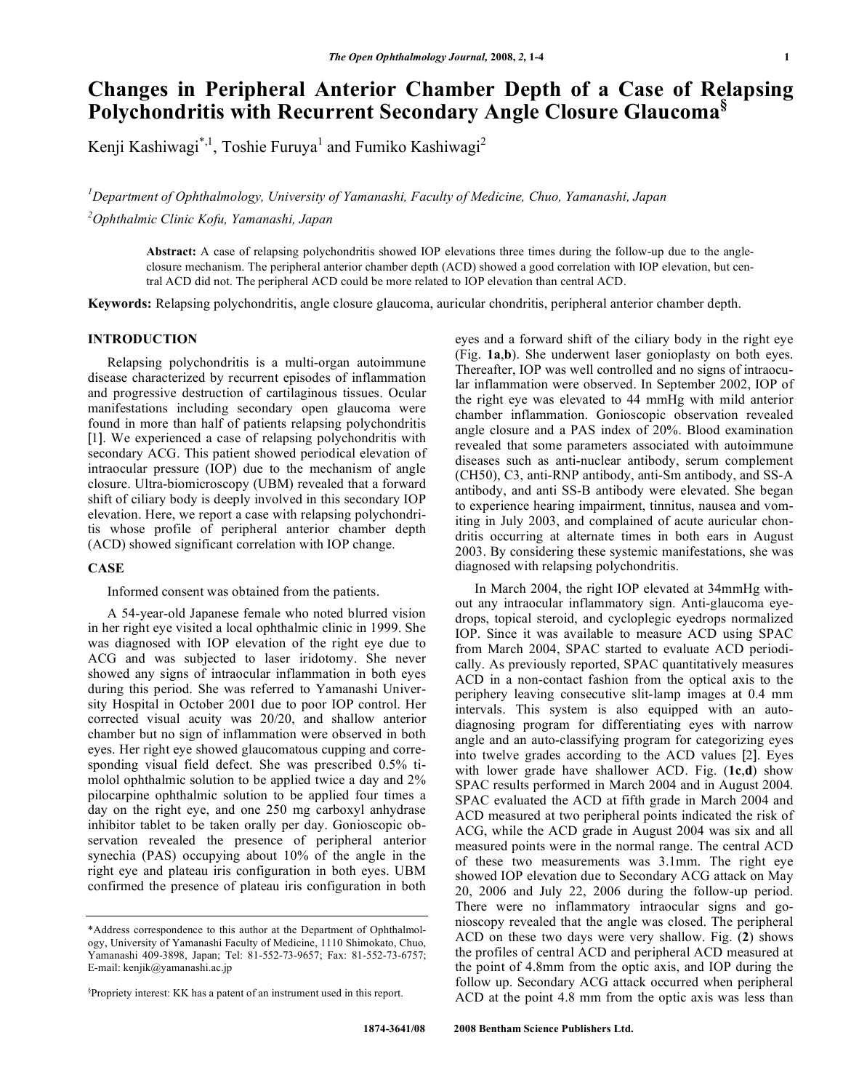# **Changes in Peripheral Anterior Chamber Depth of a Case of Relapsing Polychondritis with Recurrent Secondary Angle Closure Glaucoma§**

Kenji Kashiwagi $^{*,1}$ , Toshie Furuya $^{1}$  and Fumiko Kashiwagi $^{2}$ 

*1 Department of Ophthalmology, University of Yamanashi, Faculty of Medicine, Chuo, Yamanashi, Japan 2 Ophthalmic Clinic Kofu, Yamanashi, Japan* 

**Abstract:** A case of relapsing polychondritis showed IOP elevations three times during the follow-up due to the angleclosure mechanism. The peripheral anterior chamber depth (ACD) showed a good correlation with IOP elevation, but central ACD did not. The peripheral ACD could be more related to IOP elevation than central ACD.

**Keywords:** Relapsing polychondritis, angle closure glaucoma, auricular chondritis, peripheral anterior chamber depth.

#### **INTRODUCTION**

 Relapsing polychondritis is a multi-organ autoimmune disease characterized by recurrent episodes of inflammation and progressive destruction of cartilaginous tissues. Ocular manifestations including secondary open glaucoma were found in more than half of patients relapsing polychondritis [1]. We experienced a case of relapsing polychondritis with secondary ACG. This patient showed periodical elevation of intraocular pressure (IOP) due to the mechanism of angle closure. Ultra-biomicroscopy (UBM) revealed that a forward shift of ciliary body is deeply involved in this secondary IOP elevation. Here, we report a case with relapsing polychondritis whose profile of peripheral anterior chamber depth (ACD) showed significant correlation with IOP change.

## **CASE**

Informed consent was obtained from the patients.

 A 54-year-old Japanese female who noted blurred vision in her right eye visited a local ophthalmic clinic in 1999. She was diagnosed with IOP elevation of the right eye due to ACG and was subjected to laser iridotomy. She never showed any signs of intraocular inflammation in both eyes during this period. She was referred to Yamanashi University Hospital in October 2001 due to poor IOP control. Her corrected visual acuity was 20/20, and shallow anterior chamber but no sign of inflammation were observed in both eyes. Her right eye showed glaucomatous cupping and corresponding visual field defect. She was prescribed 0.5% timolol ophthalmic solution to be applied twice a day and 2% pilocarpine ophthalmic solution to be applied four times a day on the right eye, and one 250 mg carboxyl anhydrase inhibitor tablet to be taken orally per day. Gonioscopic observation revealed the presence of peripheral anterior synechia (PAS) occupying about 10% of the angle in the right eye and plateau iris configuration in both eyes. UBM confirmed the presence of plateau iris configuration in both

eyes and a forward shift of the ciliary body in the right eye (Fig. **1a**,**b**). She underwent laser gonioplasty on both eyes. Thereafter, IOP was well controlled and no signs of intraocular inflammation were observed. In September 2002, IOP of the right eye was elevated to 44 mmHg with mild anterior chamber inflammation. Gonioscopic observation revealed angle closure and a PAS index of 20%. Blood examination revealed that some parameters associated with autoimmune diseases such as anti-nuclear antibody, serum complement (CH50), C3, anti-RNP antibody, anti-Sm antibody, and SS-A antibody, and anti SS-B antibody were elevated. She began to experience hearing impairment, tinnitus, nausea and vomiting in July 2003, and complained of acute auricular chondritis occurring at alternate times in both ears in August 2003. By considering these systemic manifestations, she was diagnosed with relapsing polychondritis.

 In March 2004, the right IOP elevated at 34mmHg without any intraocular inflammatory sign. Anti-glaucoma eyedrops, topical steroid, and cycloplegic eyedrops normalized IOP. Since it was available to measure ACD using SPAC from March 2004, SPAC started to evaluate ACD periodically. As previously reported, SPAC quantitatively measures ACD in a non-contact fashion from the optical axis to the periphery leaving consecutive slit-lamp images at 0.4 mm intervals. This system is also equipped with an autodiagnosing program for differentiating eyes with narrow angle and an auto-classifying program for categorizing eyes into twelve grades according to the ACD values [2]. Eyes with lower grade have shallower ACD. Fig. (**1c**,**d**) show SPAC results performed in March 2004 and in August 2004. SPAC evaluated the ACD at fifth grade in March 2004 and ACD measured at two peripheral points indicated the risk of ACG, while the ACD grade in August 2004 was six and all measured points were in the normal range. The central ACD of these two measurements was 3.1mm. The right eye showed IOP elevation due to Secondary ACG attack on May 20, 2006 and July 22, 2006 during the follow-up period. There were no inflammatory intraocular signs and gonioscopy revealed that the angle was closed. The peripheral ACD on these two days were very shallow. Fig. (**2**) shows the profiles of central ACD and peripheral ACD measured at the point of 4.8mm from the optic axis, and IOP during the follow up. Secondary ACG attack occurred when peripheral ACD at the point 4.8 mm from the optic axis was less than

<sup>\*</sup>Address correspondence to this author at the Department of Ophthalmology, University of Yamanashi Faculty of Medicine, 1110 Shimokato, Chuo, Yamanashi 409-3898, Japan; Tel: 81-552-73-9657; Fax: 81-552-73-6757; E-mail: kenjik@yamanashi.ac.jp

<sup>§</sup> Propriety interest: KK has a patent of an instrument used in this report.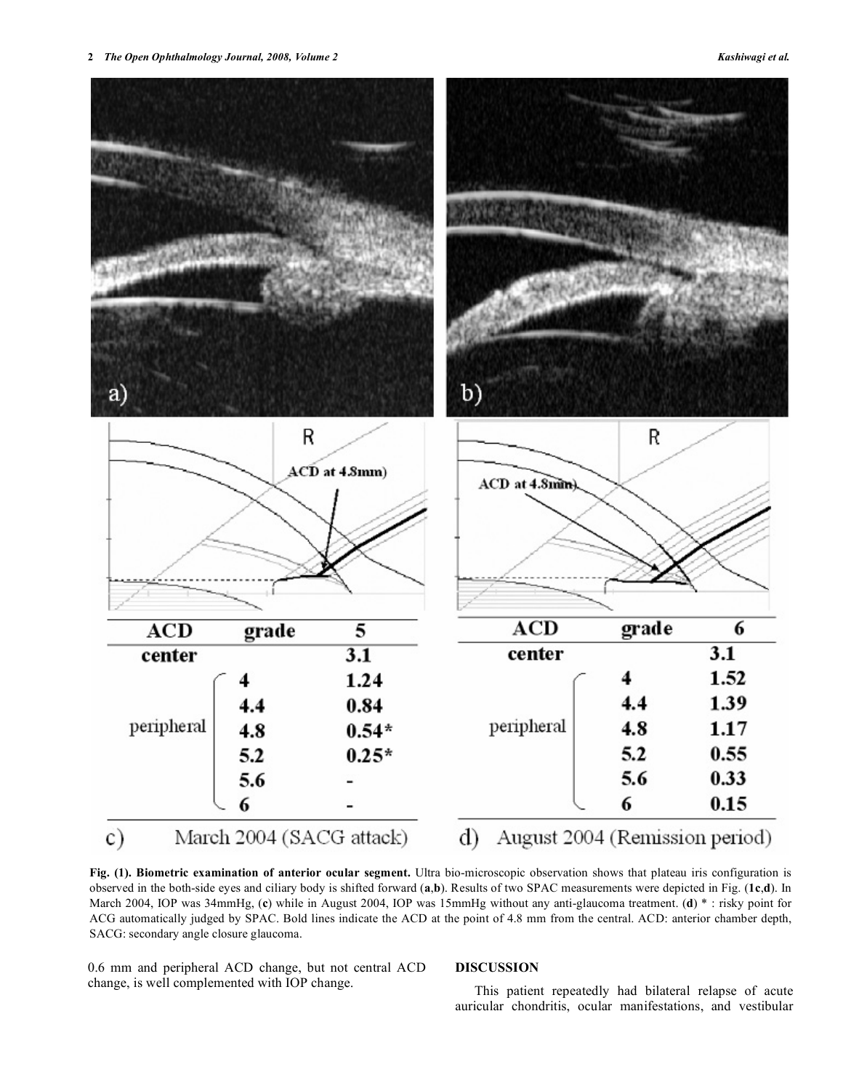2 *2 <b><i>The Open Ophthalmology Journal, 2008, Volume 2* Kashiwagi et al.



**Fig. (1). Biometric examination of anterior ocular segment.** Ultra bio-microscopic observation shows that plateau iris configuration is observed in the both-side eyes and ciliary body is shifted forward (**a**,**b**). Results of two SPAC measurements were depicted in Fig. (**1c**,**d**). In March 2004, IOP was 34mmHg, (**c**) while in August 2004, IOP was 15mmHg without any anti-glaucoma treatment. (**d**) \* : risky point for ACG automatically judged by SPAC. Bold lines indicate the ACD at the point of 4.8 mm from the central. ACD: anterior chamber depth, SACG: secondary angle closure glaucoma.

0.6 mm and peripheral ACD change, but not central ACD change, is well complemented with IOP change.

## **DISCUSSION**

 This patient repeatedly had bilateral relapse of acute auricular chondritis, ocular manifestations, and vestibular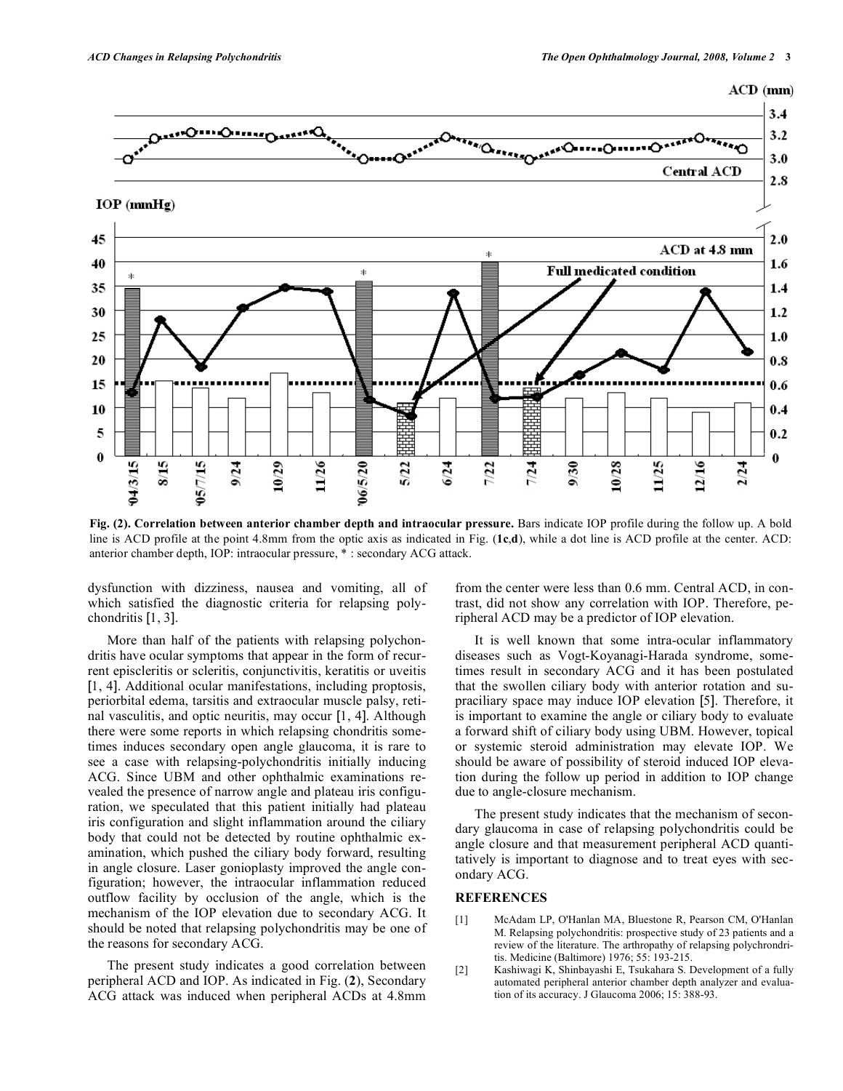



**Fig. (2). Correlation between anterior chamber depth and intraocular pressure.** Bars indicate IOP profile during the follow up. A bold line is ACD profile at the point 4.8mm from the optic axis as indicated in Fig. (**1c**,**d**), while a dot line is ACD profile at the center. ACD: anterior chamber depth, IOP: intraocular pressure, \* : secondary ACG attack.

dysfunction with dizziness, nausea and vomiting, all of which satisfied the diagnostic criteria for relapsing polychondritis [1, 3].

 More than half of the patients with relapsing polychondritis have ocular symptoms that appear in the form of recurrent episcleritis or scleritis, conjunctivitis, keratitis or uveitis [1, 4]. Additional ocular manifestations, including proptosis, periorbital edema, tarsitis and extraocular muscle palsy, retinal vasculitis, and optic neuritis, may occur [1, 4]. Although there were some reports in which relapsing chondritis sometimes induces secondary open angle glaucoma, it is rare to see a case with relapsing-polychondritis initially inducing ACG. Since UBM and other ophthalmic examinations revealed the presence of narrow angle and plateau iris configuration, we speculated that this patient initially had plateau iris configuration and slight inflammation around the ciliary body that could not be detected by routine ophthalmic examination, which pushed the ciliary body forward, resulting in angle closure. Laser gonioplasty improved the angle configuration; however, the intraocular inflammation reduced outflow facility by occlusion of the angle, which is the mechanism of the IOP elevation due to secondary ACG. It should be noted that relapsing polychondritis may be one of the reasons for secondary ACG.

 The present study indicates a good correlation between peripheral ACD and IOP. As indicated in Fig. (**2**), Secondary ACG attack was induced when peripheral ACDs at 4.8mm from the center were less than 0.6 mm. Central ACD, in contrast, did not show any correlation with IOP. Therefore, peripheral ACD may be a predictor of IOP elevation.

 It is well known that some intra-ocular inflammatory diseases such as Vogt-Koyanagi-Harada syndrome, sometimes result in secondary ACG and it has been postulated that the swollen ciliary body with anterior rotation and supraciliary space may induce IOP elevation [5]. Therefore, it is important to examine the angle or ciliary body to evaluate a forward shift of ciliary body using UBM. However, topical or systemic steroid administration may elevate IOP. We should be aware of possibility of steroid induced IOP elevation during the follow up period in addition to IOP change due to angle-closure mechanism.

 The present study indicates that the mechanism of secondary glaucoma in case of relapsing polychondritis could be angle closure and that measurement peripheral ACD quantitatively is important to diagnose and to treat eyes with secondary ACG.

## **REFERENCES**

- [1] McAdam LP, O'Hanlan MA, Bluestone R, Pearson CM, O'Hanlan M. Relapsing polychondritis: prospective study of 23 patients and a review of the literature. The arthropathy of relapsing polychrondritis. Medicine (Baltimore) 1976; 55: 193-215.
- [2] Kashiwagi K, Shinbayashi E, Tsukahara S. Development of a fully automated peripheral anterior chamber depth analyzer and evaluation of its accuracy. J Glaucoma 2006; 15: 388-93.